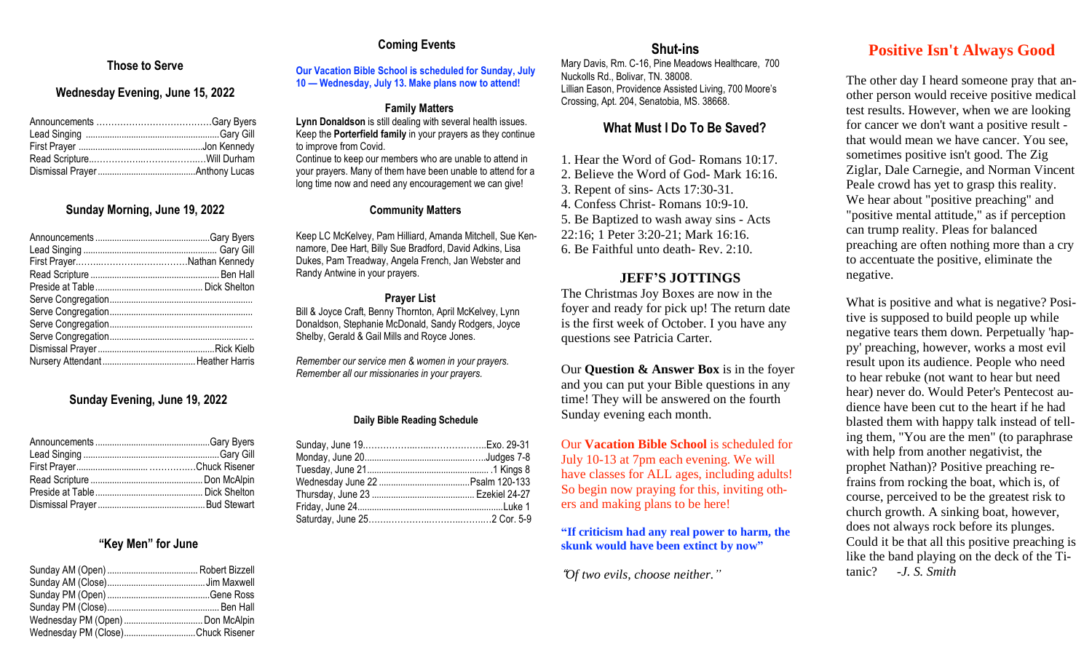## **Coming Events**

# **r Those to Serve**

## **Wednesday Evening, June 15, 2022**

### **Sunday Morning, June 19, 2022**

## **Sunday Evening, June 19, 2022**

#### **"Key Men" for June**

| Wednesday PM (Close)Chuck Risener |  |
|-----------------------------------|--|

#### **Our Vacation Bible School is scheduled for Sunday, July 10 — Wednesday, July 13. Make plans now to attend!**

#### **Family Matters**

**Lynn Donaldson** is still dealing with several health issues. Keep the **Porterfield family** in your prayers as they continue to improve from Covid. Continue to keep our members who are unable to attend in your prayers. Many of them have been unable to attend for a long time now and need any encouragement we can give!

#### **Community Matters**

Keep LC McKelvey, Pam Hilliard, Amanda Mitchell, Sue Kennamore, Dee Hart, Billy Sue Bradford, David Adkins, Lisa Dukes, Pam Treadway, Angela French, Jan Webster and Randy Antwine in your prayers.

#### **Prayer List**

Bill & Joyce Craft, Benny Thornton, April McKelvey, Lynn Donaldson, Stephanie McDonald, Sandy Rodgers, Joyce Shelby, Gerald & Gail Mills and Royce Jones.

*Remember our service men & women in your prayers. Remember all our missionaries in your prayers.*

#### **Daily Bible Reading Schedule**

## **Shut-ins**

Mary Davis, Rm. C-16, Pine Meadows Healthcare, 700 Nuckolls Rd., Bolivar, TN. 38008. Lillian Eason, Providence Assisted Living, 700 Moore's Crossing, Apt. 204, Senatobia, MS. 38668.

## **What Must I Do To Be Saved?**

1. Hear the Word of God- Romans 10:17. 2. Believe the Word of God- Mark 16:16.

3. Repent of sins- Acts 17:30-31.

4. Confess Christ- Romans 10:9-10.

5. Be Baptized to wash away sins - Acts 22:16; 1 Peter 3:20-21; Mark 16:16.

# 6. Be Faithful unto death- Rev. 2:10.

## **JEFF'S JOTTINGS**

The Christmas Joy Boxes are now in the foyer and ready for pick up! The return date is the first week of October. I you have any questions see Patricia Carter.

Our **Question & Answer Box** is in the foyer and you can put your Bible questions in any time! They will be answered on the fourth Sunday evening each month.

Our **Vacation Bible School** is scheduled for July 10-13 at 7pm each evening. We will have classes for ALL ages, including adults! So begin now praying for this, inviting others and making plans to be here!

#### **"If criticism had any real power to harm, the skunk would have been extinct by now"**

"*Of two evils, choose neither."*

## **Positive Isn't Always Good**

The other day I heard someone pray that another person would receive positive medical test results. However, when we are looking for cancer we don't want a positive result that would mean we have cancer. You see, sometimes positive isn't good. The Zig Ziglar, Dale Carnegie, and Norman Vincent Peale crowd has yet to grasp this reality. We hear about "positive preaching" and "positive mental attitude," as if perception can trump reality. Pleas for balanced preaching are often nothing more than a cry to accentuate the positive, eliminate the negative.

What is positive and what is negative? Positive is supposed to build people up while negative tears them down. Perpetually 'happy' preaching, however, works a most evil result upon its audience. People who need to hear rebuke (not want to hear but need hear) never do. Would Peter's Pentecost audience have been cut to the heart if he had blasted them with happy talk instead of telling them, "You are the men" (to paraphrase with help from another negativist, the prophet Nathan)? Positive preaching refrains from rocking the boat, which is, of course, perceived to be the greatest risk to church growth. A sinking boat, however, does not always rock before its plunges. Could it be that all this positive preaching is like the band playing on the deck of the Titanic? *-J. S. Smith*